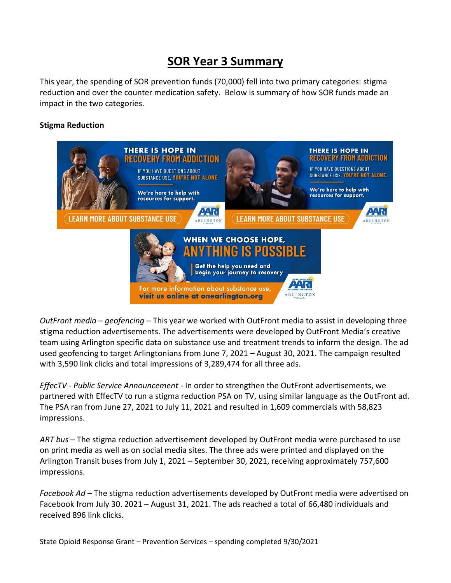## **SOR Year 3 Summary**

This year, the spending of SOR prevention funds (70,000) fell into two primary categories: stigma reduction and over the counter medication safety. Below is summary of how SOR funds made an impact in the two categories.

## **Stigma Reduction**



*OutFront media – geofencing* – This year we worked with OutFront media to assist in developing three stigma reduction advertisements. The advertisements were developed by OutFront Media's creative team using Arlington specific data on substance use and treatment trends to inform the design. The ad used geofencing to target Arlingtonians from June 7, 2021 – August 30, 2021. The campaign resulted with 3,590 link clicks and total impressions of 3,289,474 for all three ads.

*EffecTV - Public Service Announcement -* In order to strengthen the OutFront advertisements, we partnered with EffecTV to run a stigma reduction PSA on TV, using similar language as the OutFront ad. The PSA ran from June 27, 2021 to July 11, 2021 and resulted in 1,609 commercials with 58,823 impressions.

*ART bus* – The stigma reduction advertisement developed by OutFront media were purchased to use on print media as well as on social media sites. The three ads were printed and displayed on the Arlington Transit buses from July 1, 2021 – September 30, 2021, receiving approximately 757,600 impressions.

*Facebook Ad* – The stigma reduction advertisements developed by OutFront media were advertised on Facebook from July 30. 2021 – August 31, 2021. The ads reached a total of 66,480 individuals and received 896 link clicks.